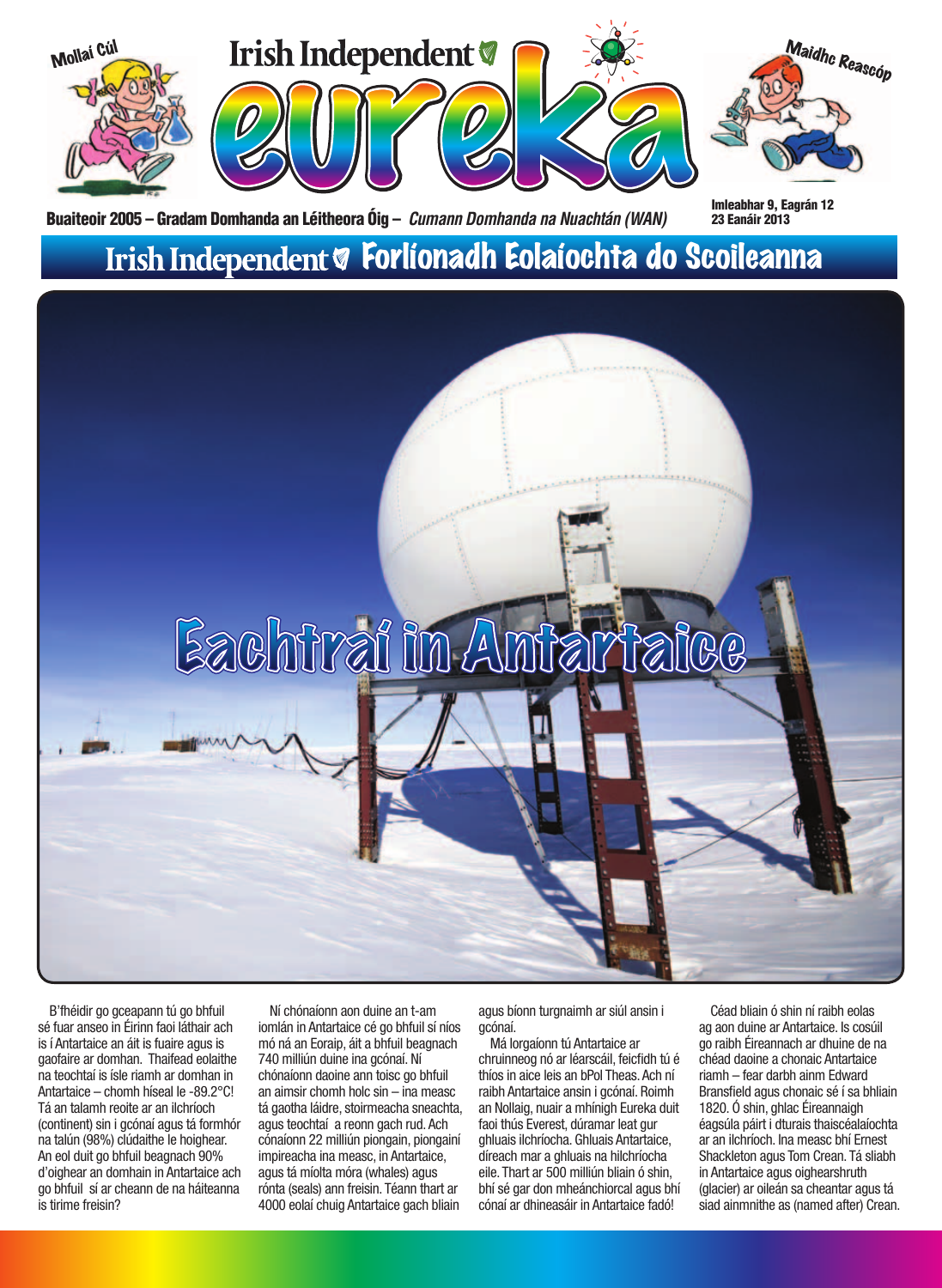

Buaiteoir 2005 – Gradam Domhanda an Léitheora Óig – *Cumann Domhanda na Nuachtán (WAN)* Imleabhar 9, Eagrán 12

### Irish Independent & Forlíonadh Eolaíochta do Scoileanna



B'fhéidir go gceapann tú go bhfuil sé fuar anseo in Éirinn faoi láthair ach is í Antartaice an áit is fuaire agus is gaofaire ar domhan. Thaifead eolaithe na teochtaí is ísle riamh ar domhan in Antartaice – chomh híseal le -89.2°C! Tá an talamh reoite ar an ilchríoch (continent) sin i gcónaí agus tá formhór na talún (98%) clúdaithe le hoighear. An eol duit go bhfuil beagnach 90% d'oighear an domhain in Antartaice ach go bhfuil sí ar cheann de na háiteanna is tirime freisin?

Ní chónaíonn aon duine an t-am iomlán in Antartaice cé go bhfuil sí níos mó ná an Eoraip, áit a bhfuil beagnach 740 milliún duine ina gcónaí. Ní chónaíonn daoine ann toisc go bhfuil an aimsir chomh holc sin – ina measc tá gaotha láidre, stoirmeacha sneachta, agus teochtaí a reonn gach rud. Ach cónaíonn 22 milliún piongain, piongainí impireacha ina measc, in Antartaice, agus tá míolta móra (whales) agus rónta (seals) ann freisin. Téann thart ar 4000 eolaí chuig Antartaice gach bliain

agus bíonn turgnaimh ar siúl ansin i gcónaí.

Má lorgaíonn tú Antartaice ar chruinneog nó ar léarscáil, feicfidh tú é thíos in aice leis an bPol Theas. Ach ní raibh Antartaice ansin i gcónaí. Roimh an Nollaig, nuair a mhínigh Eureka duit faoi thús Everest, dúramar leat gur ghluais ilchríocha. Ghluais Antartaice, díreach mar a ghluais na hilchríocha eile. Thart ar 500 milliún bliain ó shin, bhí sé gar don mheánchiorcal agus bhí cónaí ar dhineasáir in Antartaice fadó!

Céad bliain ó shin ní raibh eolas ag aon duine ar Antartaice. Is cosúil go raibh Éireannach ar dhuine de na chéad daoine a chonaic Antartaice riamh – fear darbh ainm Edward Bransfield agus chonaic sé í sa bhliain 1820. Ó shin, ghlac Éireannaigh éagsúla páirt i dturais thaiscéalaíochta ar an ilchríoch. Ina measc bhí Ernest Shackleton agus Tom Crean. Tá sliabh in Antartaice agus oighearshruth (glacier) ar oileán sa cheantar agus tá siad ainmnithe as (named after) Crean.

23 Eanáir 2013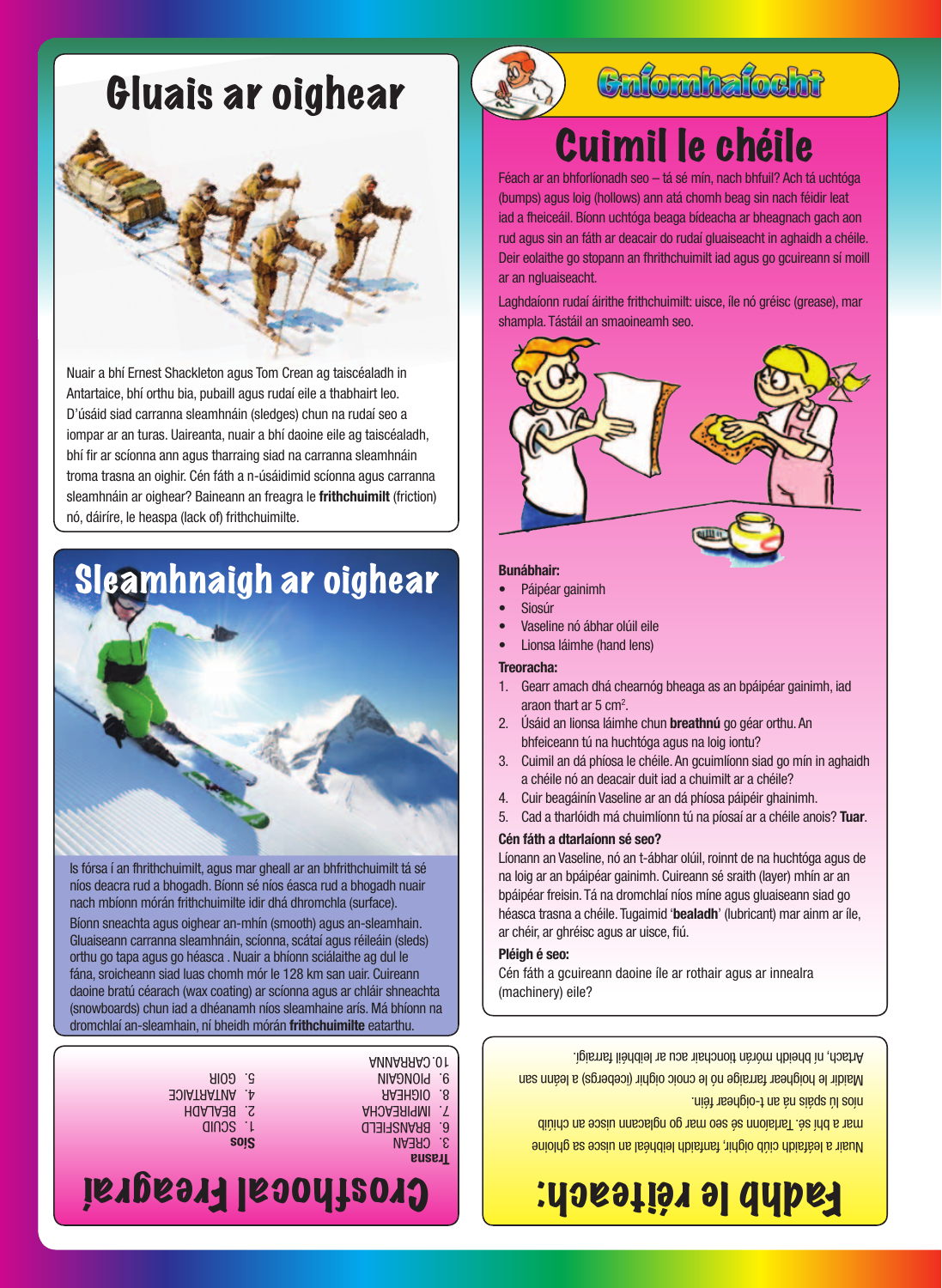## Gluais ar oighear



Nuair a bhí Ernest Shackleton agus Tom Crean ag taiscéaladh in Antartaice, bhí orthu bia, pubaill agus rudaí eile a thabhairt leo. D'úsáid siad carranna sleamhnáin (sledges) chun na rudaí seo a iompar ar an turas. Uaireanta, nuair a bhí daoine eile ag taiscéaladh, bhí fir ar scíonna ann agus tharraing siad na carranna sleamhnáin troma trasna an oighir. Cén fáth a n-úsáidimid scíonna agus carranna sleamhnáin ar oighear? Baineann an freagra le **frithchuimilt** (friction) nó, dáiríre, le heaspa (lack of) frithchuimilte.

# Sleamhnaigh ar oighear



Bíonn sneachta agus oighear an-mhín (smooth) agus an-sleamhain. Gluaiseann carranna sleamhnáin, scíonna, scátaí agus réileáin (sleds) orthu go tapa agus go héasca . Nuair a bhíonn sciálaithe ag dul le fána, sroicheann siad luas chomh mór le 128 km san uair. Cuireann daoine bratú céarach (wax coating) ar scíonna agus ar chláir shneachta (snowboards) chun iad a dhéanamh níos sleamhaine arís. Má bhíonn na





### **Cnfomhafocht**

# Cuimil le chéile

Féach ar an bhforlíonadh seo – tá sé mín, nach bhfuil? Ach tá uchtóga (bumps) agus loig (hollows) ann atá chomh beag sin nach féidir leat iad a fheiceáil. Bíonn uchtóga beaga bídeacha ar bheagnach gach aon rud agus sin an fáth ar deacair do rudaí gluaiseacht in aghaidh a chéile. Deir eolaithe go stopann an fhrithchuimilt iad agus go gcuireann sí moill ar an ngluaiseacht.

Laghdaíonn rudaí áirithe frithchuimilt: uisce, íle nó gréisc (grease), mar shampla. Tástáil an smaoineamh seo.



#### **Bunábhair:**

- Páipéar gainimh
- **Siosúr**
- Vaseline nó ábhar olúil eile
- Lionsa láimhe (hand lens)

**Treoracha:**

- 1. Gearr amach dhá chearnóg bheaga as an bpáipéar gainimh, iad araon thart ar 5 cm<sup>2</sup>.
- 2. Úsáid an lionsa láimhe chun **breathnú** go géar orthu. An bhfeiceann tú na huchtóga agus na loig iontu?
- 3. Cuimil an dá phíosa le chéile. An gcuimlíonn siad go mín in aghaidh a chéile nó an deacair duit iad a chuimilt ar a chéile?
- 4. Cuir beagáinín Vaseline ar an dá phíosa páipéir ghainimh.
- 5. Cad a tharlóidh má chuimlíonn tú na píosaí ar a chéile anois? **Tuar**.
- 

#### **Cén fáth a dtarlaíonn sé seo?**

Líonann an Vaseline, nó an t-ábhar olúil, roinnt de na huchtóga agus de na loig ar an bpáipéar gainimh. Cuireann sé sraith (layer) mhín ar an bpáipéar freisin. Tá na dromchlaí níos míne agus gluaiseann siad go héasca trasna a chéile. Tugaimid '**bealadh**' (lubricant) mar ainm ar íle, ar chéir, ar ghréisc agus ar uisce, fiú.

#### **Pléigh é seo:**

Cén fáth a gcuireann daoine íle ar rothair agus ar innealra

**Trasna**  3. CREAN 6. BRANSFIELD 7. IMPIREACHA 8. OIGHEAR 9. PIONGAIN

(machinery) eile?

Maidir le hoighear farraige nó le cnoic oighir (icebergs) a leánn san Artach, ní bheidh mórán tionchair acu ar leibhéil farraigí.

níos lú spáis ná an t-oighear féin.

Nuair a leáfaidh ciúb oighir, fanfaidh leibhéal an uisce sa ghloine mar a bhí sé. Tarlaíonn sé seo mar go nglacann uisce an chiúib

# Fadhb le réiteach: [ | Crosthocal Freagraí

**Síos** 1. SCUID 2. BEALADH 4. ANTARTAICE 5. GOIR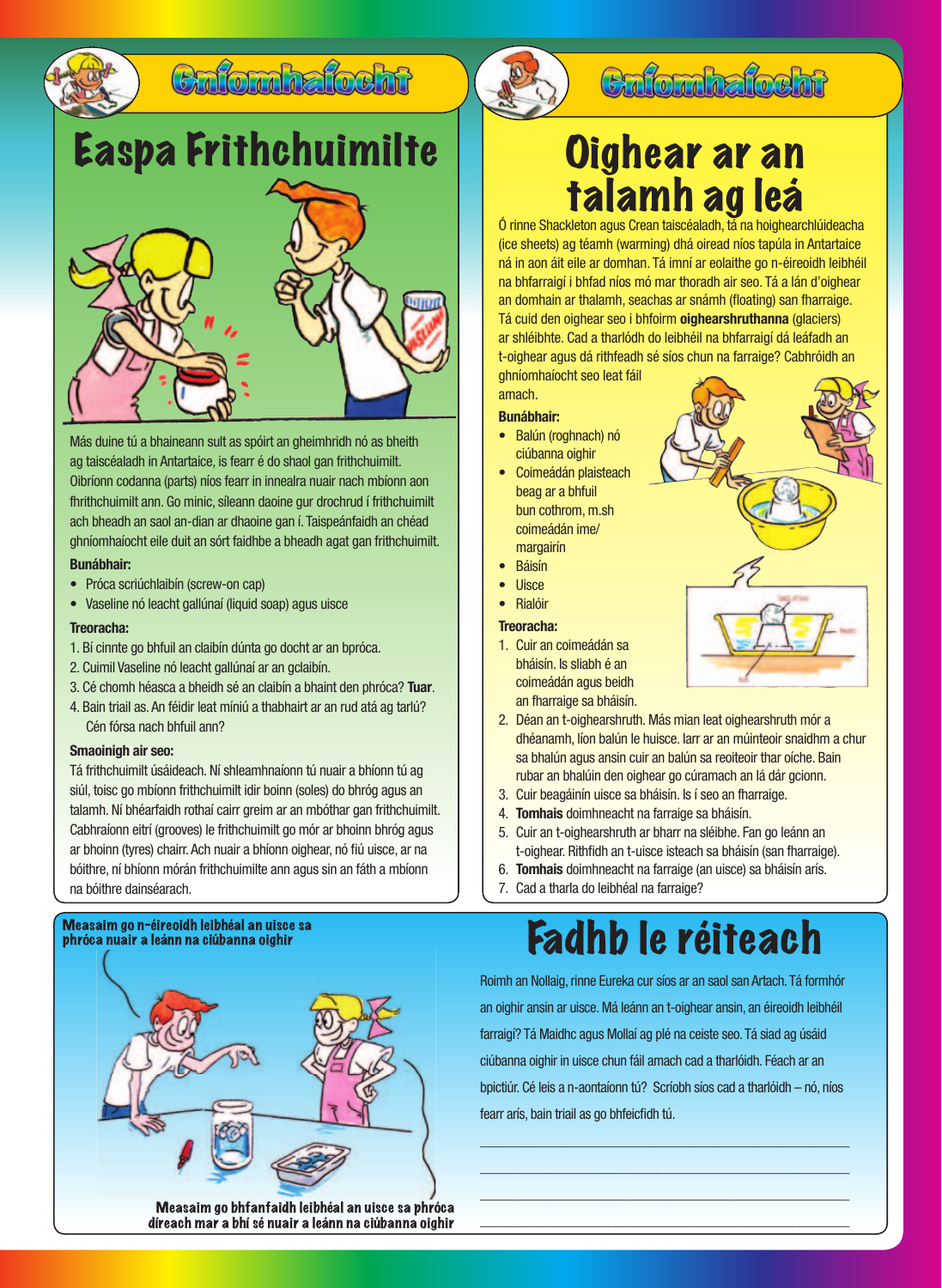

### Culombatocht

# Easpa Frithchuimilte | Cighear ar an



Más duine tú a bhaineann sult as spóirt an gheimhridh nó as bheith ag taiscéaladh in Antartaice, is fearr é do shaol gan frithchuimilt. Oibríonn codanna (parts) níos fearr in innealra nuair nach mbíonn aon fhrithchuimilt ann. Go minic, síleann daoine gur drochrud í frithchuimilt ach bheadh an saol an-dian ar dhaoine gan í. Taispeánfaidh an chéad ghníomhaíocht eile duit an sórt faidhbe a bheadh agat gan frithchuimilt. **Bunábhair:**

- Próca scriúchlaibín (screw-on cap)
- Vaseline nó leacht gallúnaí (liquid soap) agus uisce

#### **Treoracha:**

- 1. Bí cinnte go bhfuil an claibín dúnta go docht ar an bpróca.
- 2. Cuimil Vaseline nó leacht gallúnaí ar an gclaibín.
- 3. Cé chomh héasca a bheidh sé an claibín a bhaint den phróca? **Tuar**.
- 4. Bain triail as. An féidir leat míniú a thabhairt ar an rud atá ag tarlú? Cén fórsa nach bhfuil ann?

#### **Smaoinigh air seo:**

Tá frithchuimilt úsáideach. Ní shleamhnaíonn tú nuair a bhíonn tú ag siúl, toisc go mbíonn frithchuimilt idir boinn (soles) do bhróg agus an talamh. Ní bhéarfaidh rothaí cairr greim ar an mbóthar gan frithchuimilt. Cabhraíonn eitrí (grooves) le frithchuimilt go mór ar bhoinn bhróg agus ar bhoinn (tyres) chairr. Ach nuair a bhíonn oighear, nó fiú uisce, ar na bóithre, ní bhíonn mórán frithchuimilte ann agus sin an fáth a mbíonn na bóithre dainséarach.

### phróca nuair a leánn na ciúbanna oighir



### **Cafomhafocht**

# talamh ag leá

Ó rinne Shackleton agus Crean taiscéaladh, tá na hoighearchlúideacha (ice sheets) ag téamh (warming) dhá oiread níos tapúla in Antartaice ná in aon áit eile ar domhan. Tá imní ar eolaithe go n-éireoidh leibhéil na bhfarraigí i bhfad níos mó mar thoradh air seo. Tá a lán d'oighear an domhain ar thalamh, seachas ar snámh (floating) san fharraige. Tá cuid den oighear seo i bhfoirm **oighearshruthanna** (glaciers) ar shléibhte. Cad a tharlódh do leibhéil na bhfarraigí dá leáfadh an t-oighear agus dá rithfeadh sé síos chun na farraige? Cabhróidh an ghníomhaíocht seo leat fáil

#### amach. **Bunábhair:**

- Balún (roghnach) nó ciúbanna oighir
- Coimeádán plaisteach beag ar a bhfuil bun cothrom, m.sh coimeádán ime/ margairín
- **Báisín**
- Uisce
- Rialóir

#### **Treoracha:**

- 1. Cuir an coimeádán sa bháisín. Is sliabh é an coimeádán agus beidh an fharraige sa bháisín.
- 2. Déan an t-oighearshruth. Más mian leat oighearshruth mór a dhéanamh, líon balún le huisce. Iarr ar an múinteoir snaidhm a chur sa bhalún agus ansin cuir an balún sa reoiteoir thar oíche. Bain rubar an bhalúin den oighear go cúramach an lá dár gcionn.
- 3. Cuir beagáinín uisce sa bháisín. Is í seo an fharraige.
- 4. **Tomhais** doimhneacht na farraige sa bháisín.
- 5. Cuir an t-oighearshruth ar bharr na sléibhe. Fan go leánn an t-oighear. Rithfidh an t-uisce isteach sa bháisín (san fharraige).
- 6. **Tomhais** doimhneacht na farraige (an uisce) sa bháisín arís.
- 7. Cad a tharla do leibhéal na farraige?

# Measaim go n-éireoidh leibhéal an uisce sa<br>phróca nuair a leánn na ciúbanna oighir

Roimh an Nollaig, rinne Eureka cur síos ar an saol san Artach. Tá formhór an oighir ansin ar uisce. Má leánn an t-oighear ansin, an éireoidh leibhéil farraigí? Tá Maidhc agus Mollaí ag plé na ceiste seo. Tá siad ag úsáid ciúbanna oighir in uisce chun fáil amach cad a tharlóidh. Féach ar an bpictiúr. Cé leis a n-aontaíonn tú? Scríobh síos cad a tharlóidh – nó, níos fearr arís, bain triail as go bhfeicfidh tú.

\_\_\_\_\_\_\_\_\_\_\_\_\_\_\_\_\_\_\_\_\_\_\_\_\_\_\_\_\_\_\_\_\_\_\_\_\_\_\_\_\_\_\_\_\_\_\_\_\_\_\_\_  $\_$  , and the set of the set of the set of the set of the set of the set of the set of the set of the set of the set of the set of the set of the set of the set of the set of the set of the set of the set of the set of th \_\_\_\_\_\_\_\_\_\_\_\_\_\_\_\_\_\_\_\_\_\_\_\_\_\_\_\_\_\_\_\_\_\_\_\_\_\_\_\_\_\_\_\_\_\_\_\_\_\_\_\_ \_\_\_\_\_\_\_\_\_\_\_\_\_\_\_\_\_\_\_\_\_\_\_\_\_\_\_\_\_\_\_\_\_\_\_\_\_\_\_\_\_\_\_\_\_\_\_\_\_\_\_\_



Measaim go bhfanfaidh leibhéal an uisce sa phróca díreach mar a bhí sé nuair a leánn na ciúbanna oighir